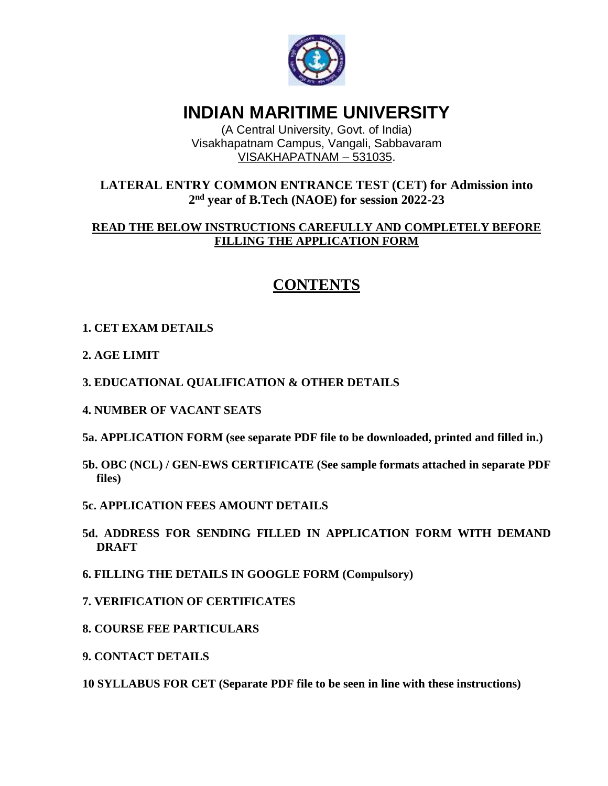

# **INDIAN MARITIME UNIVERSITY**

(A Central University, Govt. of India) Visakhapatnam Campus, Vangali, Sabbavaram VISAKHAPATNAM – 531035.

## **LATERAL ENTRY COMMON ENTRANCE TEST (CET) for Admission into 2 nd year of B.Tech (NAOE) for session 2022-23**

### **READ THE BELOW INSTRUCTIONS CAREFULLY AND COMPLETELY BEFORE FILLING THE APPLICATION FORM**

## **CONTENTS**

## **1. CET EXAM DETAILS**

#### **2. AGE LIMIT**

#### **3. EDUCATIONAL QUALIFICATION & OTHER DETAILS**

- **4. NUMBER OF VACANT SEATS**
- **5a. APPLICATION FORM (see separate PDF file to be downloaded, printed and filled in.)**
- **5b. OBC (NCL) / GEN-EWS CERTIFICATE (See sample formats attached in separate PDF files)**

#### **5c. APPLICATION FEES AMOUNT DETAILS**

- **5d. ADDRESS FOR SENDING FILLED IN APPLICATION FORM WITH DEMAND DRAFT**
- **6. FILLING THE DETAILS IN GOOGLE FORM (Compulsory)**
- **7. VERIFICATION OF CERTIFICATES**
- **8. COURSE FEE PARTICULARS**
- **9. CONTACT DETAILS**

**10 SYLLABUS FOR CET (Separate PDF file to be seen in line with these instructions)**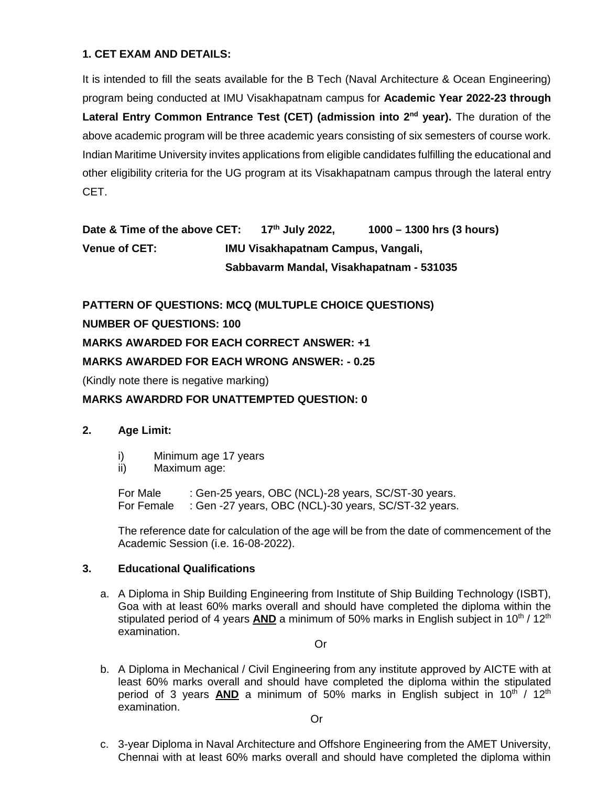#### **1. CET EXAM AND DETAILS:**

It is intended to fill the seats available for the B Tech (Naval Architecture & Ocean Engineering) program being conducted at IMU Visakhapatnam campus for **Academic Year 2022-23 through Lateral Entry Common Entrance Test (CET) (admission into 2nd year).** The duration of the above academic program will be three academic years consisting of six semesters of course work. Indian Maritime University invites applications from eligible candidates fulfilling the educational and other eligibility criteria for the UG program at its Visakhapatnam campus through the lateral entry CET.

**Date & Time of the above CET: 17th July 2022, 1000 – 1300 hrs (3 hours) Venue of CET: IMU Visakhapatnam Campus, Vangali, Sabbavarm Mandal, Visakhapatnam - 531035**

**PATTERN OF QUESTIONS: MCQ (MULTUPLE CHOICE QUESTIONS)**

## **NUMBER OF QUESTIONS: 100**

#### **MARKS AWARDED FOR EACH CORRECT ANSWER: +1**

#### **MARKS AWARDED FOR EACH WRONG ANSWER: - 0.25**

(Kindly note there is negative marking)

#### **MARKS AWARDRD FOR UNATTEMPTED QUESTION: 0**

#### **2. Age Limit:**

- i) Minimum age 17 years
- ii) Maximum age:

For Male : Gen-25 years, OBC (NCL)-28 years, SC/ST-30 years. For Female : Gen -27 years, OBC (NCL)-30 years, SC/ST-32 years.

The reference date for calculation of the age will be from the date of commencement of the Academic Session (i.e. 16-08-2022).

#### **3. Educational Qualifications**

a. A Diploma in Ship Building Engineering from Institute of Ship Building Technology (ISBT), Goa with at least 60% marks overall and should have completed the diploma within the stipulated period of 4 years **AND** a minimum of 50% marks in English subject in  $10^{th}$  /  $12^{th}$ examination.

Or

b. A Diploma in Mechanical / Civil Engineering from any institute approved by AICTE with at least 60% marks overall and should have completed the diploma within the stipulated period of 3 years **AND** a minimum of 50% marks in English subject in 10<sup>th</sup> / 12<sup>th</sup> examination.

Or

c. 3-year Diploma in Naval Architecture and Offshore Engineering from the AMET University, Chennai with at least 60% marks overall and should have completed the diploma within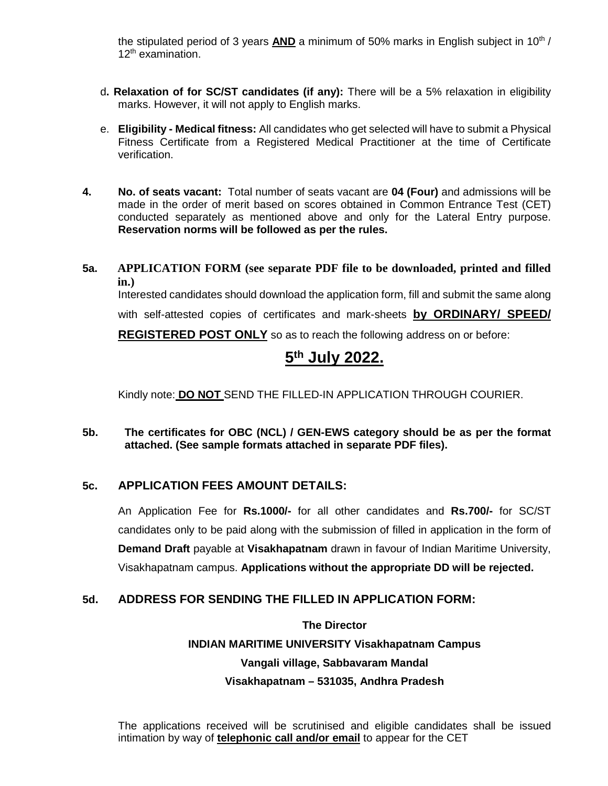the stipulated period of 3 years **AND** a minimum of 50% marks in English subject in 10<sup>th</sup> / 12<sup>th</sup> examination.

- d**. Relaxation of for SC/ST candidates (if any):** There will be a 5% relaxation in eligibility marks. However, it will not apply to English marks.
- e. **Eligibility - Medical fitness:** All candidates who get selected will have to submit a Physical Fitness Certificate from a Registered Medical Practitioner at the time of Certificate verification.
- **4. No. of seats vacant:** Total number of seats vacant are **04 (Four)** and admissions will be made in the order of merit based on scores obtained in Common Entrance Test (CET) conducted separately as mentioned above and only for the Lateral Entry purpose. **Reservation norms will be followed as per the rules.**
- **5a. APPLICATION FORM (see separate PDF file to be downloaded, printed and filled in.)** Interested candidates should download the application form, fill and submit the same along with self-attested copies of certificates and mark-sheets **by ORDINARY/ SPEED/ REGISTERED POST ONLY** so as to reach the following address on or before:

## **5 th July 2022.**

Kindly note: **DO NOT** SEND THE FILLED-IN APPLICATION THROUGH COURIER.

**5b. The certificates for OBC (NCL) / GEN-EWS category should be as per the format attached. (See sample formats attached in separate PDF files).**

## **5c. APPLICATION FEES AMOUNT DETAILS:**

An Application Fee for **Rs.1000/-** for all other candidates and **Rs.700/-** for SC/ST candidates only to be paid along with the submission of filled in application in the form of **Demand Draft** payable at **Visakhapatnam** drawn in favour of Indian Maritime University, Visakhapatnam campus. **Applications without the appropriate DD will be rejected.**

## **5d. ADDRESS FOR SENDING THE FILLED IN APPLICATION FORM:**

## **The Director INDIAN MARITIME UNIVERSITY Visakhapatnam Campus Vangali village, Sabbavaram Mandal Visakhapatnam – 531035, Andhra Pradesh**

The applications received will be scrutinised and eligible candidates shall be issued intimation by way of **telephonic call and/or email** to appear for the CET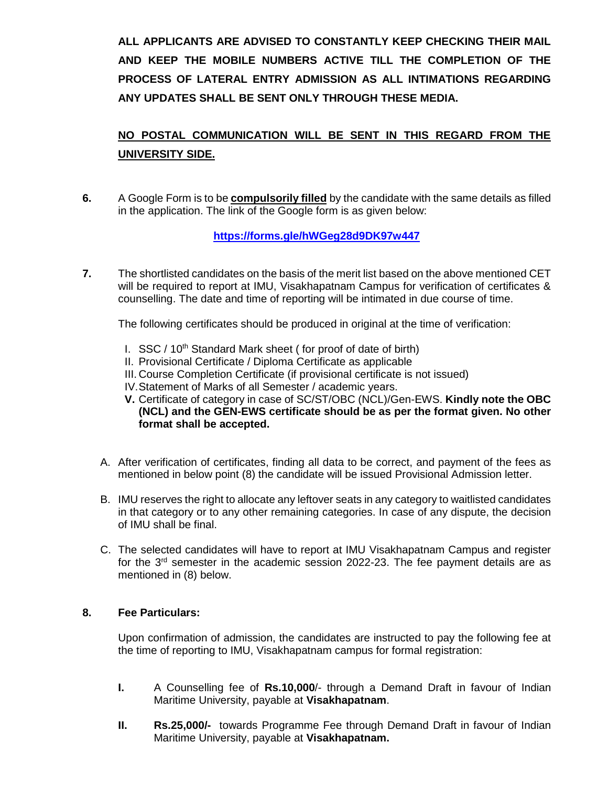**ALL APPLICANTS ARE ADVISED TO CONSTANTLY KEEP CHECKING THEIR MAIL AND KEEP THE MOBILE NUMBERS ACTIVE TILL THE COMPLETION OF THE PROCESS OF LATERAL ENTRY ADMISSION AS ALL INTIMATIONS REGARDING ANY UPDATES SHALL BE SENT ONLY THROUGH THESE MEDIA.**

## **NO POSTAL COMMUNICATION WILL BE SENT IN THIS REGARD FROM THE UNIVERSITY SIDE.**

**6.** A Google Form is to be **compulsorily filled** by the candidate with the same details as filled in the application. The link of the Google form is as given below:

**https://forms.gle/hWGeg28d9DK97w447**

**7.** The shortlisted candidates on the basis of the merit list based on the above mentioned CET will be required to report at IMU, Visakhapatnam Campus for verification of certificates & counselling. The date and time of reporting will be intimated in due course of time.

The following certificates should be produced in original at the time of verification:

- I. SSC / 10<sup>th</sup> Standard Mark sheet ( for proof of date of birth)
- II. Provisional Certificate / Diploma Certificate as applicable
- III. Course Completion Certificate (if provisional certificate is not issued)
- IV.Statement of Marks of all Semester / academic years.
- **V.** Certificate of category in case of SC/ST/OBC (NCL)/Gen-EWS. **Kindly note the OBC (NCL) and the GEN-EWS certificate should be as per the format given. No other format shall be accepted.**
- A. After verification of certificates, finding all data to be correct, and payment of the fees as mentioned in below point (8) the candidate will be issued Provisional Admission letter.
- B. IMU reserves the right to allocate any leftover seats in any category to waitlisted candidates in that category or to any other remaining categories. In case of any dispute, the decision of IMU shall be final.
- C. The selected candidates will have to report at IMU Visakhapatnam Campus and register for the 3<sup>rd</sup> semester in the academic session 2022-23. The fee payment details are as mentioned in (8) below.

#### **8. Fee Particulars:**

Upon confirmation of admission, the candidates are instructed to pay the following fee at the time of reporting to IMU, Visakhapatnam campus for formal registration:

- **I.** A Counselling fee of **Rs.10,000**/- through a Demand Draft in favour of Indian Maritime University, payable at **Visakhapatnam**.
- **II. Rs.25,000/-** towards Programme Fee through Demand Draft in favour of Indian Maritime University, payable at **Visakhapatnam.**